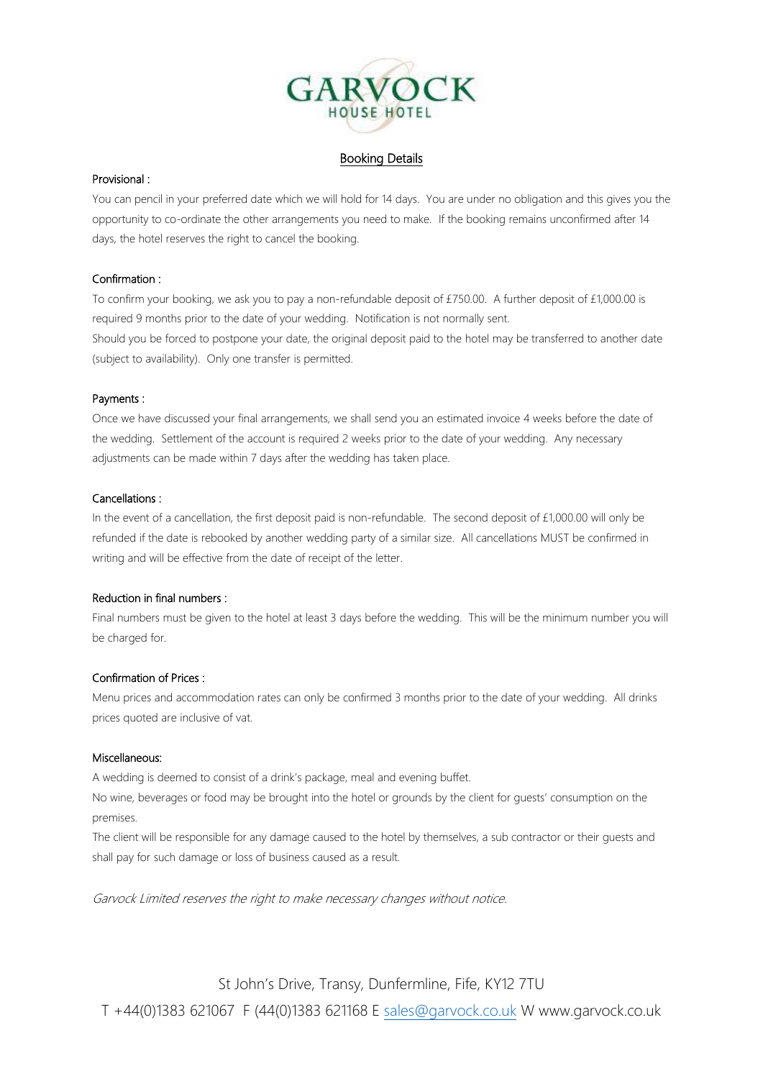

### Booking Details

#### Provisional :

You can pencil in your preferred date which we will hold for 14 days. You are under no obligation and this gives you the opportunity to co-ordinate the other arrangements you need to make. If the booking remains unconfirmed after 14 days, the hotel reserves the right to cancel the booking.

# Confirmation :

To confirm your booking, we ask you to pay a non-refundable deposit of £750.00. A further deposit of £1,000.00 is required 9 months prior to the date of your wedding. Notification is not normally sent. Should you be forced to postpone your date, the original deposit paid to the hotel may be transferred to another date (subject to availability). Only one transfer is permitted.

#### Payments :

Once we have discussed your final arrangements, we shall send you an estimated invoice 4 weeks before the date of the wedding. Settlement of the account is required 2 weeks prior to the date of your wedding. Any necessary adjustments can be made within 7 days after the wedding has taken place.

#### Cancellations :

In the event of a cancellation, the first deposit paid is non-refundable. The second deposit of  $£1,000.00$  will only be refunded if the date is rebooked by another wedding party of a similar size. All cancellations MUST be confirmed in writing and will be effective from the date of receipt of the letter.

# Reduction in final numbers :

Final numbers must be given to the hotel at least 3 days before the wedding. This will be the minimum number you will be charged for.

# Confirmation of Prices :

Menu prices and accommodation rates can only be confirmed 3 months prior to the date of your wedding. All drinks prices quoted are inclusive of vat.

#### Miscellaneous:

A wedding is deemed to consist of a drink's package, meal and evening buffet.

No wine, beverages or food may be brought into the hotel or grounds by the client for guests' consumption on the premises.

The client will be responsible for any damage caused to the hotel by themselves, a sub contractor or their guests and shall pay for such damage or loss of business caused as a result.

Garvock Limited reserves the right to make necessary changes without notice.

St John's Drive, Transy, Dunfermline, Fife, KY12 7TU

T +44(0)1383 621067 F (44(0)1383 621168 E [sales@garvock.co.uk](mailto:sales@garvock.co.uk) W www.garvock.co.uk